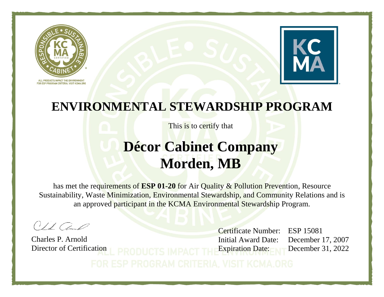



This is to certify that

### **Décor Cabinet Company Morden, MB**

has met the requirements of **ESP 01-20** for Air Quality & Pollution Prevention, Resource Sustainability, Waste Minimization, Environmental Stewardship, and Community Relations and is an approved participant in the KCMA Environmental Stewardship Program.

 $O/LCA$ 

Charles P. Arnold Director of Certification

Certificate Number: ESP 15081 Initial Award Date: December 17, 2007 Expiration Date: December 31, 2022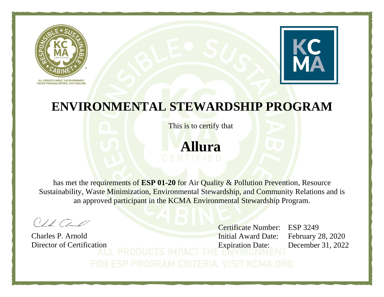



This is to certify that

**Allura**

has met the requirements of **ESP 01-20** for Air Quality & Pollution Prevention, Resource Sustainability, Waste Minimization, Environmental Stewardship, and Community Relations and is an approved participant in the KCMA Environmental Stewardship Program.

 $O1100$ 

Charles P. Arnold Director of Certification

Certificate Number: ESP 3249 Initial Award Date: February 28, 2020 Expiration Date: December 31, 2022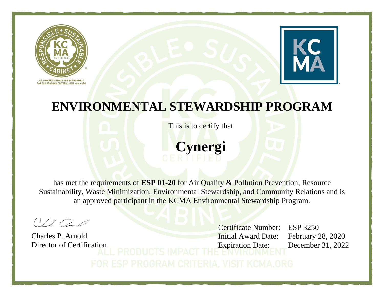



This is to certify that

**Cynergi**

has met the requirements of **ESP 01-20** for Air Quality & Pollution Prevention, Resource Sustainability, Waste Minimization, Environmental Stewardship, and Community Relations and is an approved participant in the KCMA Environmental Stewardship Program.

 $O1100$ 

Charles P. Arnold Director of Certification

Certificate Number: ESP 3250 Initial Award Date: February 28, 2020 Expiration Date: December 31, 2022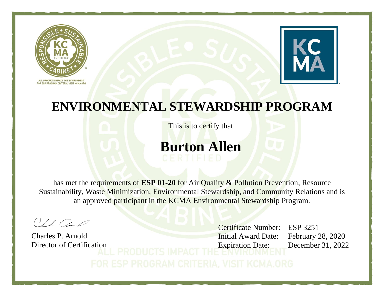



This is to certify that

### **Burton Allen**

has met the requirements of **ESP 01-20** for Air Quality & Pollution Prevention, Resource Sustainability, Waste Minimization, Environmental Stewardship, and Community Relations and is an approved participant in the KCMA Environmental Stewardship Program.

 $O/LCA$ 

Charles P. Arnold Director of Certification

Certificate Number: ESP 3251 Initial Award Date: February 28, 2020 Expiration Date: December 31, 2022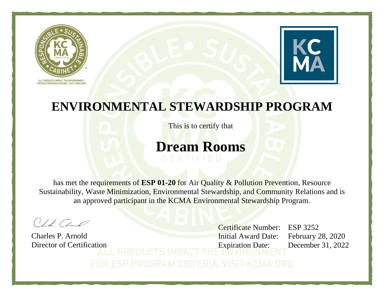



This is to certify that

### **Dream Rooms**

has met the requirements of **ESP 01-20** for Air Quality & Pollution Prevention, Resource Sustainability, Waste Minimization, Environmental Stewardship, and Community Relations and is an approved participant in the KCMA Environmental Stewardship Program.

 $O/LCA$ 

Charles P. Arnold Director of Certification

Certificate Number: ESP 3252 Initial Award Date: February 28, 2020 Expiration Date: December 31, 2022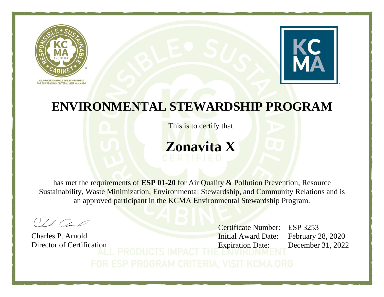



This is to certify that

# **Zonavita X**

has met the requirements of **ESP 01-20** for Air Quality & Pollution Prevention, Resource Sustainability, Waste Minimization, Environmental Stewardship, and Community Relations and is an approved participant in the KCMA Environmental Stewardship Program.

 $01100$ 

Charles P. Arnold Director of Certification

Certificate Number: ESP 3253 Initial Award Date: February 28, 2020 Expiration Date: December 31, 2022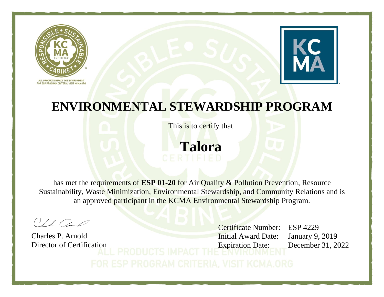



This is to certify that

**Talora**

has met the requirements of **ESP 01-20** for Air Quality & Pollution Prevention, Resource Sustainability, Waste Minimization, Environmental Stewardship, and Community Relations and is an approved participant in the KCMA Environmental Stewardship Program.

 $01100$ 

Charles P. Arnold Director of Certification

Certificate Number: ESP 4229 Initial Award Date: January 9, 2019 Expiration Date: December 31, 2022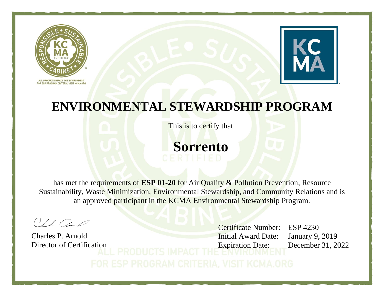



This is to certify that



has met the requirements of **ESP 01-20** for Air Quality & Pollution Prevention, Resource Sustainability, Waste Minimization, Environmental Stewardship, and Community Relations and is an approved participant in the KCMA Environmental Stewardship Program.

 $01100$ 

Charles P. Arnold Director of Certification

Certificate Number: ESP 4230 Initial Award Date: January 9, 2019 Expiration Date: December 31, 2022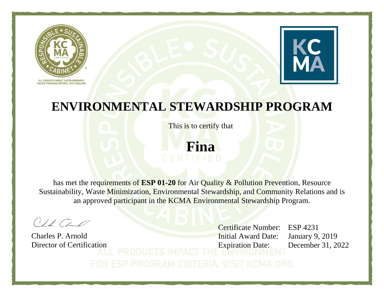



This is to certify that

**Fina**

has met the requirements of **ESP 01-20** for Air Quality & Pollution Prevention, Resource Sustainability, Waste Minimization, Environmental Stewardship, and Community Relations and is an approved participant in the KCMA Environmental Stewardship Program.

 $01100$ 

Charles P. Arnold Director of Certification

Certificate Number: ESP 4231 Initial Award Date: January 9, 2019 Expiration Date: December 31, 2022